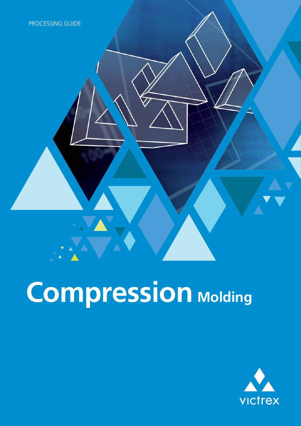# **Compression Molding**

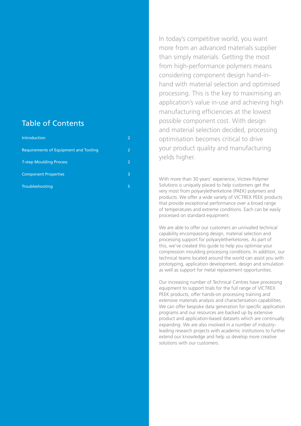#### Table of Contents

| Introduction                          |   |
|---------------------------------------|---|
| Requirements of Equipment and Tooling | 2 |
| <b>7-step Moulding Process</b>        |   |
| <b>Component Properties</b>           | 3 |
| Troubleshooting                       |   |

In today's competitive world, you want more from an advanced materials supplier than simply materials. Getting the most from high-performance polymers means considering component design hand-inhand with material selection and optimised processing. This is the key to maximising an application's value in-use and achieving high manufacturing efficiencies at the lowest possible component cost. With design and material selection decided, processing optimisation becomes critical to drive your product quality and manufacturing yields higher.

With more than 30 years' experience, Victrex Polymer Solutions is uniquely placed to help customers get the very most from polyaryletherketone (PAEK) polymers and products. We offer a wide variety of VICTREX PEEK products that provide exceptional performance over a broad range of temperatures and extreme conditions. Each can be easily processed on standard equipment.

We are able to offer our customers an unrivalled technical capability encompassing design, material selection and processing support for polyaryletherketones. As part of this, we've created this guide to help you optimise your compression moulding processing conditions. In addition, our technical teams located around the world can assist you with prototyping, application development, design and simulation as well as support for metal replacement opportunities.

Our increasing number of Technical Centres have processing equipment to support trials for the full range of VICTREX PEEK products, offer hands-on processing training and extensive materials analysis and characterisation capabilities. We can offer bespoke data generation for specific application programs and our resources are backed up by extensive product and application-based datasets which are continually expanding. We are also involved in a number of industryleading research projects with academic institutions to further extend our knowledge and help us develop more creative solutions with our customers.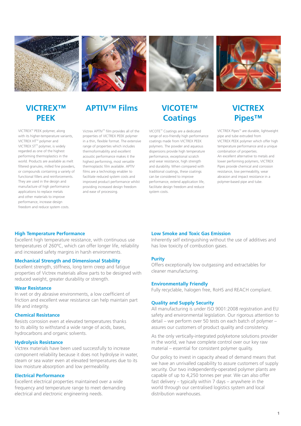







### **VICTREX™ PEEK**

VICTREX™ PEEK polymer, along with its higher-temperature variants, VICTREX HT™ polymer and VICTREX ST™ polymer, is widely regarded as one of the highest performing thermoplastics in the world. Products are available as melt filtered granules, milled fine powders, or compounds containing a variety of functional fillers and reinforcements. They are used in the design and manufacture of high performance applications to replace metals and other materials to improve performance, increase design freedom and reduce system costs.

## **APTIV™ Films VICOTE™**

Victrex APTIV™ film provides all of the properties of VICTREX PEEK polymer in a thin, flexible format. The extensive range of properties which includes thermoformability and excellent acoustic performance makes it the highest performing, most versatile thermoplastic film available. APTIV films are a technology enabler to facilitate reduced system costs and improved product performance whilst providing increased design freedom and ease of processing.

# **Coatings**

VICOTE™ Coatings are a dedicated range of eco-friendly high performance coatings made from VICTREX PEEK polymers. The powder and aqueous dispersions provide high temperature performance, exceptional scratch and wear resistance, high strength and durability. When compared with traditional coatings, these coatings can be considered to improve performance, extend application life, facilitate design freedom and reduce system costs.

### **VICTREX Pipes™**

VICTREX Pipes™ are durable, lightweight pipe and tube extruded from VICTREX PEEK polymer which offer high temperature performance and a unique combination of properties. An excellent alternative to metals and lower performing polymers, VICTREX Pipes provide chemical and corrosion resistance, low permeability, wear abrasion and impact resistance in a polymer-based pipe and tube.

#### **High Temperature Performance**

Excellent high temperature resistance, with continuous use temperatures of 260ºC, which can offer longer life, reliability and increased safety margins in harsh environments.

#### **Mechanical Strength and Dimensional Stability**

Excellent strength, stiffness, long term creep and fatigue properties of Victrex materials allow parts to be designed with reduced weight, greater durability or strength.

#### **Wear Resistance**

In wet or dry abrasive environments, a low coefficient of friction and excellent wear resistance can help maintain part life and integrity.

#### **Chemical Resistance**

Resists corrosion even at elevated temperatures thanks to its ability to withstand a wide range of acids, bases, hydrocarbons and organic solvents.

#### **Hydrolysis Resistance**

Victrex materials have been used successfully to increase component reliability because it does not hydrolyse in water, steam or sea water even at elevated temperatures due to its low moisture absorption and low permeability.

#### **Electrical Performance**

Excellent electrical properties maintained over a wide frequency and temperature range to meet demanding electrical and electronic engineering needs.

#### **Low Smoke and Toxic Gas Emission**

Inherently self extinguishing without the use of additives and has low toxicity of combustion gases.

#### **Purity**

Offers exceptionally low outgassing and extractables for cleaner manufacturing.

#### **Environmentally Friendly**

Fully recyclable, halogen free, RoHS and REACH compliant.

#### **Quality and Supply Security**

All manufacturing is under ISO 9001:2008 registration and EU safety and environmental legislation. Our rigorous attention to detail – we perform over 50 tests on each batch of polymer – assures our customers of product quality and consistency.

As the only vertically-integrated polyketone solutions provider in the world, we have complete control over our key raw material – essential for consistent polymer quality.

Our policy to invest in capacity ahead of demand means that we have an unrivalled capability to assure customers of supply security. Our two independently-operated polymer plants are capable of up to 4,250 tonnes per year. We can also offer fast delivery – typically within 7 days – anywhere in the world through our centralised logistics system and local distribution warehouses.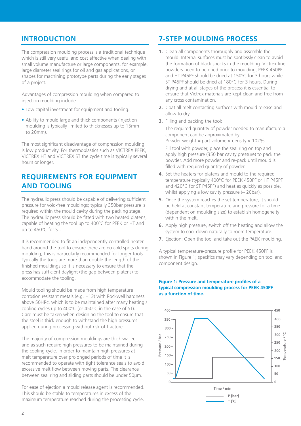#### **INTRODUCTION**

The compression moulding process is a traditional technique which is still very useful and cost effective when dealing with small volume manufacture or large components, for example, large diameter seal rings for oil and gas applications, or shapes for machining prototype parts during the early stages of a project.

Advantages of compression moulding when compared to injection moulding include:

- Low capital investment for equipment and tooling.
- Ability to mould large and thick components (injection moulding is typically limited to thicknesses up to 15mm to 20mm).

The most significant disadvantage of compression moulding is low productivity. For thermoplastics such as VICTREX PEEK, VICTREX HT and VICTREX ST the cycle time is typically several hours or longer.

#### **REQUIREMENTS FOR EQUIPMENT AND TOOLING**

The hydraulic press should be capable of delivering sufficient pressure for void-free mouldings; typically 350bar pressure is required within the mould cavity during the packing stage. The hydraulic press should be fitted with two heated platens, capable of heating the tool up to 400ºC for PEEK or HT and up to 450ºC for ST.

It is recommended to fit an independently controlled heater band around the tool to ensure there are no cold spots during moulding; this is particularly recommended for longer tools. Typically the tools are more than double the length of the finished mouldings so it is necessary to ensure that the press has sufficient daylight (the gap between platens) to accommodate the tooling.

Mould tooling should be made from high temperature corrosion resistant metals (e.g. H13) with Rockwell hardness above 50HRc, which is to be maintained after many heating / cooling cycles up to 400ºC (or 450°C in the case of ST). Care must be taken when designing the tool to ensure that the steel is thick enough to withstand the high pressures applied during processing without risk of fracture.

The majority of compression mouldings are thick walled and as such require high pressures to be maintained during the cooling cycle. In order to maintain high pressures at melt temperature over prolonged periods of time it is recommended to operate with tight tolerance seals to avoid excessive melt flow between moving parts. The clearance between seal ring and sliding parts should be under 50µm.

For ease of ejection a mould release agent is recommended. This should be stable to temperatures in excess of the maximum temperature reached during the processing cycle.

#### **7-STEP MOULDING PROCESS**

- **1.** Clean all components thoroughly and assemble the mould. Internal surfaces must be spotlessly clean to avoid the formation of black specks in the moulding. Victrex fine powders need to be dried prior to moulding; PEEK 450PF and HT P45PF should be dried at 150ºC for 3 hours while ST P45PF should be dried at 180°C for 3 hours. During drying and at all stages of the process it is essential to ensure that Victrex materials are kept clean and free from any cross contamination.
- **2.** Coat all melt contacting surfaces with mould release and allow to dry.
- **3.** Filling and packing the tool:

 The required quantity of powder needed to manufacture a component can be approximated by: Powder weight = part volume  $\times$  density  $\times$  102%.

 Fill tool with powder, place the seal ring on top and apply high pressure (350 bar cavity pressure) to pack the powder. Add more powder and re-pack until mould is filled with required quantity of powder.

- **4.** Set the heaters for platens and mould to the required temperature (typically 400°C for PEEK 450PF or HT P45PF and 420°C for ST P45PF) and heat as quickly as possible, whilst applying a low cavity pressure ( $\approx$  20bar).
- **5.** Once the system reaches the set temperature, it should be held at constant temperature and pressure for a time (dependent on moulding size) to establish homogeneity within the melt.
- **6.** Apply high pressure, switch off the heating and allow the system to cool down naturally to room temperature.
- **7.** Ejection: Open the tool and take out the PAEK moulding.

A typical temperature-pressure profile for PEEK 450PF is shown in Figure 1; specifics may vary depending on tool and component design.

#### **Figure 1: Pressure and temperature profiles of a typical compression moulding process for PEEK 450PF as a function of time.**

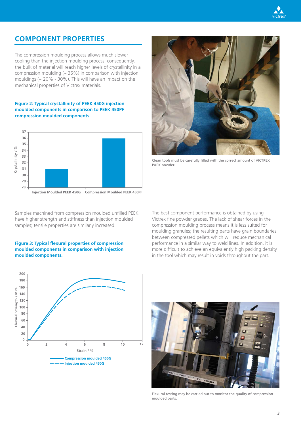

#### **COMPONENT PROPERTIES**

The compression moulding process allows much slower cooling than the injection moulding process; consequently, the bulk of material will reach higher levels of crystallinity in a compression moulding ( $\approx$  35%) in comparison with injection mouldings ( $\sim$  20% - 30%). This will have an impact on the mechanical properties of Victrex materials.

#### **Figure 2: Typical crystallinity of PEEK 450G injection moulded components in comparison to PEEK 450PF compression moulded components.**



Samples machined from compression moulded unfilled PEEK have higher strength and stiffness than injection moulded samples; tensile properties are similarly increased.

#### **Figure 3: Typical flexural properties of compression moulded components in comparison with injection moulded components.**



Clean tools must be carefully filled with the correct amount of VICTREX PAEK powder.

The best component performance is obtained by using Victrex fine powder grades. The lack of shear forces in the compression moulding process means it is less suited for moulding granules; the resulting parts have grain boundaries between compressed pellets which will reduce mechanical performance in a similar way to weld lines. In addition, it is more difficult to achieve an equivalently high packing density in the tool which may result in voids throughout the part.





Flexural testing may be carried out to monitor the quality of compression moulded parts.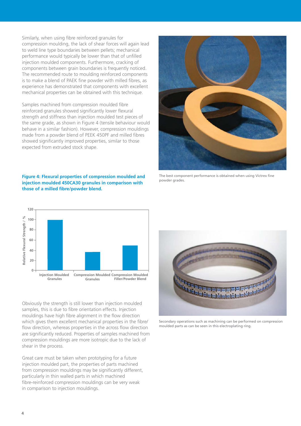Similarly, when using fibre reinforced granules for compression moulding, the lack of shear forces will again lead to weld line type boundaries between pellets; mechanical performance would typically be lower than that of unfilled injection moulded components. Furthermore, cracking of components between grain boundaries is frequently noticed. The recommended route to moulding reinforced components is to make a blend of PAEK fine powder with milled fibres, as experience has demonstrated that components with excellent mechanical properties can be obtained with this technique.

Samples machined from compression moulded fibre reinforced granules showed significantly lower flexural strength and stiffness than injection moulded test pieces of the same grade, as shown in Figure 4 (tensile behaviour would behave in a similar fashion). However, compression mouldings made from a powder blend of PEEK 450PF and milled fibres showed significantly improved properties, similar to those expected from extruded stock shape.

#### **Figure 4: Flexural properties of compression moulded and injection moulded 450CA30 granules in comparison with those of a milled fibre/powder blend.**



The best component performance is obtained when using Victrex fine powder grades.



Obviously the strength is still lower than injection moulded samples, this is due to fibre orientation effects. Injection mouldings have high fibre alignment in the flow direction which gives them excellent mechanical properties in the fibre/ flow direction, whereas properties in the across flow direction are significantly reduced. Properties of samples machined from compression mouldings are more isotropic due to the lack of shear in the process.

Great care must be taken when prototyping for a future injection moulded part, the properties of parts machined from compression mouldings may be significantly different, particularly in thin walled parts in which machined fibre-reinforced compression mouldings can be very weak in comparison to injection mouldings.



Secondary operations such as machining can be performed on compression moulded parts as can be seen in this electroplating ring.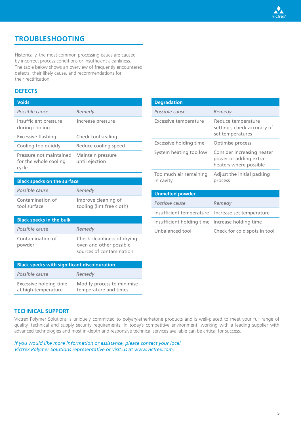

#### **TROUBLESHOOTING**

Historically, the most common processing issues are caused by incorrect process conditions or insufficient cleanliness. The table below shows an overview of frequently encountered defects, their likely cause, and recommendations for their rectification

#### **DEFECTS**

| <b>Voids</b>                                              |                                     |
|-----------------------------------------------------------|-------------------------------------|
| Possible cause                                            | Remedy                              |
| Insufficient pressure<br>during cooling                   | Increase pressure                   |
| Excessive flashing                                        | Check tool sealing                  |
| Cooling too quickly                                       | Reduce cooling speed                |
| Pressure not maintained<br>for the whole cooling<br>cycle | Maintain pressure<br>until ejection |

| <b>Black specks on the surface</b>               |  |  |
|--------------------------------------------------|--|--|
| Remedy                                           |  |  |
| Improve cleaning of<br>tooling (lint free cloth) |  |  |
|                                                  |  |  |

#### **Black specks in the bulk** *Possible cause Remedy* Contamination of Check cleanliness of drying powder oven and other possible sources of contamination

| <b>Black specks with significant discolouration</b> |                                                     |  |
|-----------------------------------------------------|-----------------------------------------------------|--|
| Possible cause                                      | Remedy                                              |  |
| Excessive holding time<br>at high temperature       | Modify process to minimise<br>temperature and times |  |

| <b>Degradation</b>                  |                                                                               |
|-------------------------------------|-------------------------------------------------------------------------------|
| Possible cause                      | Remedy                                                                        |
| <b>Excessive temperature</b>        | Reduce temperature<br>settings, check accuracy of<br>set temperatures         |
| <b>Excessive holding time</b>       | Optimise process                                                              |
| System heating too low              | Consider increasing heater<br>power or adding extra<br>heaters where possible |
| Too much air remaining<br>in cavity | Adjust the initial packing<br>process                                         |
| <b>Unmelted powder</b>              |                                                                               |
| Possible cause                      | Remedy                                                                        |
| Insufficient temperature            | Increase set temperature                                                      |
| Insufficient holding time           | Increase holding time                                                         |
| Unbalanced tool                     | Check for cold spots in tool                                                  |

#### **TECHNICAL SUPPORT**

Victrex Polymer Solutions is uniquely committed to polyaryletherketone products and is well-placed to meet your full range of quality, technical and supply security requirements. In today's competitive environment, working with a leading supplier with advanced technologies and most in-depth and responsive technical services available can be critical for success.

*If you would like more information or assistance, please contact your local Victrex Polymer Solutions representative or visit us at www.victrex.com.*